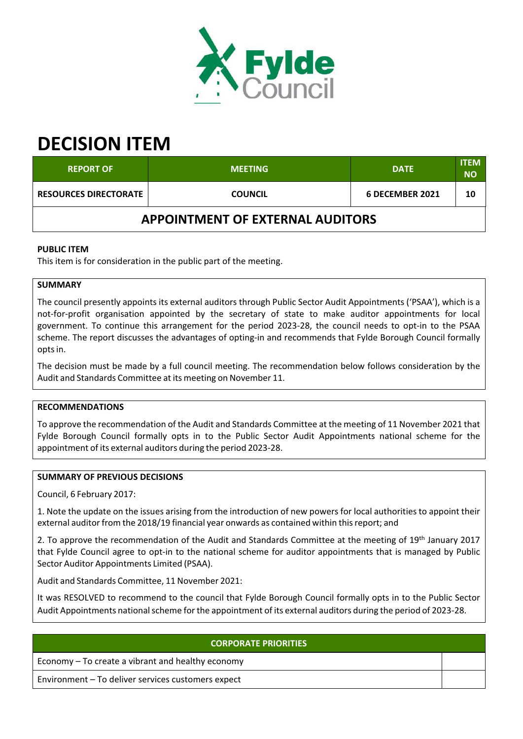

# **DECISION ITEM**

| <b>REPORT OF</b>                        | <b>MEETING</b> | <b>DATE</b>     | <b>ITEM</b><br><b>NO</b> |  |  |
|-----------------------------------------|----------------|-----------------|--------------------------|--|--|
| <b>RESOURCES DIRECTORATE</b>            | <b>COUNCIL</b> | 6 DECEMBER 2021 | 10                       |  |  |
| <b>APPOINTMENT OF EXTERNAL AUDITORS</b> |                |                 |                          |  |  |

# **PUBLIC ITEM**

This item is for consideration in the public part of the meeting.

# **SUMMARY**

The council presently appoints its external auditors through Public Sector Audit Appointments ('PSAA'), which is a not‐for‐profit organisation appointed by the secretary of state to make auditor appointments for local government. To continue this arrangement for the period 2023‐28, the council needs to opt‐in to the PSAA scheme. The report discusses the advantages of opting-in and recommends that Fylde Borough Council formally optsin.

The decision must be made by a full council meeting. The recommendation below follows consideration by the Audit and Standards Committee at its meeting on November 11.

## **RECOMMENDATIONS**

To approve the recommendation of the Audit and Standards Committee at the meeting of 11 November 2021 that Fylde Borough Council formally opts in to the Public Sector Audit Appointments national scheme for the appointment of its external auditors during the period 2023‐28.

#### **SUMMARY OF PREVIOUS DECISIONS**

Council, 6 February 2017:

1. Note the update on the issues arising from the introduction of new powers for local authorities to appoint their external auditor from the 2018/19 financial year onwards as contained within this report; and

2. To approve the recommendation of the Audit and Standards Committee at the meeting of 19<sup>th</sup> January 2017 that Fylde Council agree to opt‐in to the national scheme for auditor appointments that is managed by Public Sector Auditor Appointments Limited (PSAA).

Audit and Standards Committee, 11 November 2021:

It was RESOLVED to recommend to the council that Fylde Borough Council formally opts in to the Public Sector Audit Appointments national scheme for the appointment of its external auditors during the period of 2023-28.

## **CORPORATE PRIORITIES**

Economy – To create a vibrant and healthy economy

Environment – To deliver services customers expect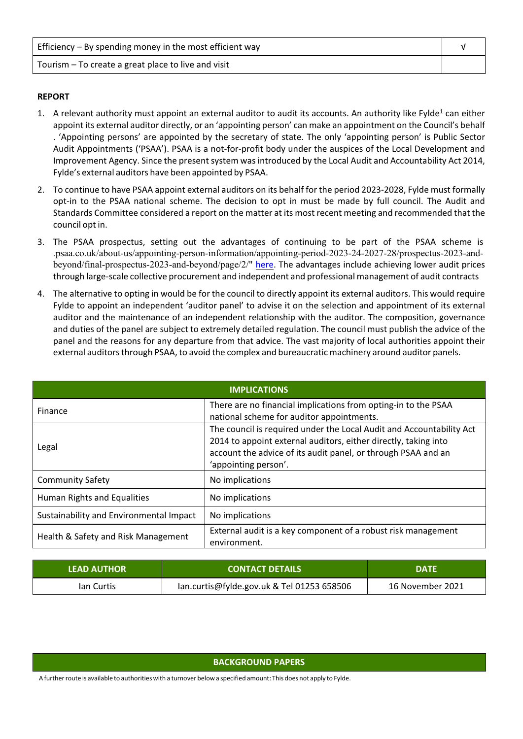| Efficiency $-$ By spending money in the most efficient way |  |
|------------------------------------------------------------|--|
| Tourism – To create a great place to live and visit        |  |

#### **REPORT**

- 1. A relevant authority must appoint an external auditor to audit its accounts. An authority like Fylde<sup>1</sup> can either appoint its external auditor directly, or an 'appointing person' can make an appointment on the Council's behalf . 'Appointing persons' are appointed by the secretary of state. The only 'appointing person' is Public Sector Audit Appointments ('PSAA'). PSAA is a not‐for‐profit body under the auspices of the Local Development and Improvement Agency. Since the present system was introduced by the Local Audit and Accountability Act 2014, Fylde's external auditors have been appointed by PSAA.
- 2. To continue to have PSAA appoint external auditors on its behalf for the period 2023-2028, Fylde must formally opt‐in to the PSAA national scheme. The decision to opt in must be made by full council. The Audit and Standards Committee considered a report on the matter at its most recent meeting and recommended that the council opt in.
- 3. The PSAA prospectus, setting out the advantages of continuing to be part of the PSAA scheme is .psaa.co.uk/about-us/appointing-person-information/appointing-period-2023-24-2027-28/prospectus-2023-andbeyond/final-prospectus-2023-and-beyond/page/2/" here. The advantages include achieving lower audit prices through large‐scale collective procurement and independent and professional management of audit contracts
- 4. The alternative to opting in would be for the council to directly appoint its external auditors. This would require Fylde to appoint an independent 'auditor panel' to advise it on the selection and appointment of its external auditor and the maintenance of an independent relationship with the auditor. The composition, governance and duties of the panel are subject to extremely detailed regulation. The council must publish the advice of the panel and the reasons for any departure from that advice. The vast majority of local authorities appoint their external auditors through PSAA, to avoid the complex and bureaucratic machinery around auditor panels.

| <b>IMPLICATIONS</b>                     |                                                                                                                                                                                                                                  |  |  |  |
|-----------------------------------------|----------------------------------------------------------------------------------------------------------------------------------------------------------------------------------------------------------------------------------|--|--|--|
| Finance                                 | There are no financial implications from opting-in to the PSAA<br>national scheme for auditor appointments.                                                                                                                      |  |  |  |
| Legal                                   | The council is required under the Local Audit and Accountability Act<br>2014 to appoint external auditors, either directly, taking into<br>account the advice of its audit panel, or through PSAA and an<br>'appointing person'. |  |  |  |
| <b>Community Safety</b>                 | No implications                                                                                                                                                                                                                  |  |  |  |
| Human Rights and Equalities             | No implications                                                                                                                                                                                                                  |  |  |  |
| Sustainability and Environmental Impact | No implications                                                                                                                                                                                                                  |  |  |  |
| Health & Safety and Risk Management     | External audit is a key component of a robust risk management<br>environment.                                                                                                                                                    |  |  |  |

| <b>LEAD AUTHOR</b> | <b>CONTACT DETAILS</b>                     | <b>DATF</b>      |  |
|--------------------|--------------------------------------------|------------------|--|
| lan Curtis         | lan.curtis@fylde.gov.uk & Tel 01253 658506 | 16 November 2021 |  |

#### **BACKGROUND PAPERS**

A furtherroute is available to authorities with a turnover below a specified amount: This does not apply to Fylde.